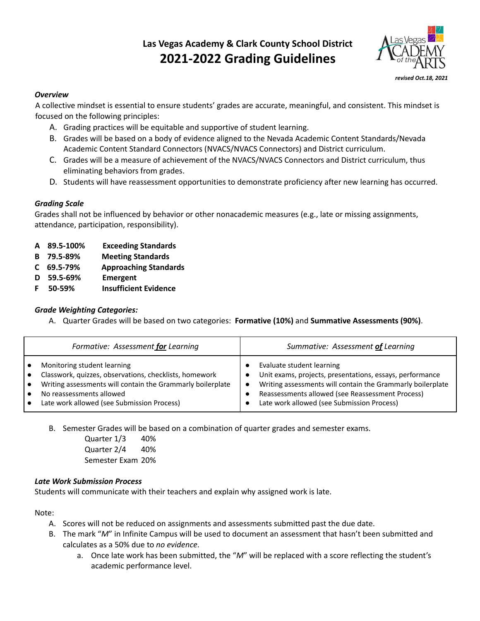# **Las Vegas Academy & Clark County School District 2021-2022 Grading Guidelines**



#### *Overview*

A collective mindset is essential to ensure students' grades are accurate, meaningful, and consistent. This mindset is focused on the following principles:

- A. Grading practices will be equitable and supportive of student learning.
- B. Grades will be based on a body of evidence aligned to the Nevada Academic Content Standards/Nevada Academic Content Standard Connectors (NVACS/NVACS Connectors) and District curriculum.
- C. Grades will be a measure of achievement of the NVACS/NVACS Connectors and District curriculum, thus eliminating behaviors from grades.
- D. Students will have reassessment opportunities to demonstrate proficiency after new learning has occurred.

#### *Grading Scale*

Grades shall not be influenced by behavior or other nonacademic measures (e.g., late or missing assignments, attendance, participation, responsibility).

- **A 89.5-100% Exceeding Standards**
- **B 79.5-89% Meeting Standards**
- **C 69.5-79% Approaching Standards**
- **D 59.5-69% Emergent**
- **F 50-59% Insufficient Evidence**

## *Grade Weighting Categories:*

A. Quarter Grades will be based on two categories: **Formative (10%)** and **Summative Assessments (90%)**.

| Formative: Assessment for Learning                         | Summative: Assessment of Learning                          |
|------------------------------------------------------------|------------------------------------------------------------|
| Monitoring student learning                                | Evaluate student learning                                  |
| Classwork, quizzes, observations, checklists, homework     | Unit exams, projects, presentations, essays, performance   |
| Writing assessments will contain the Grammarly boilerplate | Writing assessments will contain the Grammarly boilerplate |
| No reassessments allowed                                   | Reassessments allowed (see Reassessment Process)           |
| Late work allowed (see Submission Process)                 | Late work allowed (see Submission Process)                 |

B. Semester Grades will be based on a combination of quarter grades and semester exams.

Quarter 1/3 40% Quarter 2/4 40% Semester Exam 20%

### *Late Work Submission Process*

Students will communicate with their teachers and explain why assigned work is late.

Note:

- A. Scores will not be reduced on assignments and assessments submitted past the due date.
- B. The mark "*M*" in Infinite Campus will be used to document an assessment that hasn't been submitted and calculates as a 50% due to *no evidence*.
	- a. Once late work has been submitted, the "*M*" will be replaced with a score reflecting the student's academic performance level.